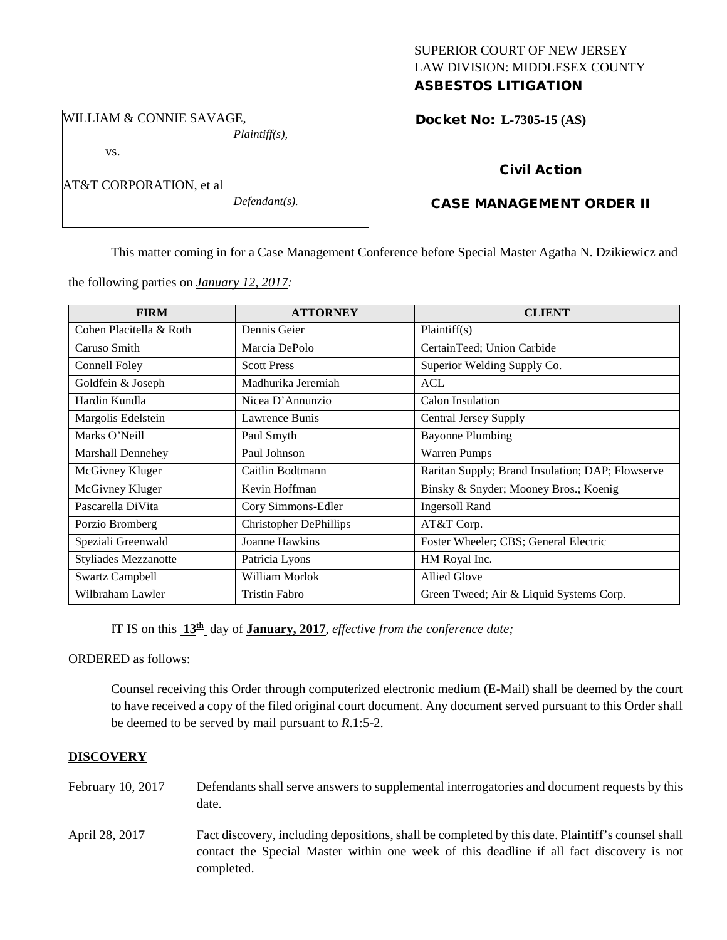### SUPERIOR COURT OF NEW JERSEY LAW DIVISION: MIDDLESEX COUNTY ASBESTOS LITIGATION

# WILLIAM & CONNIE SAVAGE,

*Plaintiff(s),*

vs.

AT&T CORPORATION, et al

*Defendant(s).*

Docket No: **L-7305-15 (AS)** 

# Civil Action

# CASE MANAGEMENT ORDER II

This matter coming in for a Case Management Conference before Special Master Agatha N. Dzikiewicz and

the following parties on *January 12, 2017:*

| <b>FIRM</b>                 | <b>ATTORNEY</b>               | <b>CLIENT</b>                                    |
|-----------------------------|-------------------------------|--------------------------------------------------|
| Cohen Placitella & Roth     | Dennis Geier                  | Plaintiff(s)                                     |
| Caruso Smith                | Marcia DePolo                 | CertainTeed; Union Carbide                       |
| Connell Foley               | <b>Scott Press</b>            | Superior Welding Supply Co.                      |
| Goldfein & Joseph           | Madhurika Jeremiah            | <b>ACL</b>                                       |
| Hardin Kundla               | Nicea D'Annunzio              | Calon Insulation                                 |
| Margolis Edelstein          | Lawrence Bunis                | <b>Central Jersey Supply</b>                     |
| Marks O'Neill               | Paul Smyth                    | <b>Bayonne Plumbing</b>                          |
| Marshall Dennehey           | Paul Johnson                  | <b>Warren Pumps</b>                              |
| McGivney Kluger             | Caitlin Bodtmann              | Raritan Supply; Brand Insulation; DAP; Flowserve |
| McGivney Kluger             | Kevin Hoffman                 | Binsky & Snyder; Mooney Bros.; Koenig            |
| Pascarella DiVita           | Cory Simmons-Edler            | <b>Ingersoll Rand</b>                            |
| Porzio Bromberg             | <b>Christopher DePhillips</b> | AT&T Corp.                                       |
| Speziali Greenwald          | <b>Joanne Hawkins</b>         | Foster Wheeler; CBS; General Electric            |
| <b>Styliades Mezzanotte</b> | Patricia Lyons                | HM Royal Inc.                                    |
| <b>Swartz Campbell</b>      | William Morlok                | <b>Allied Glove</b>                              |
| Wilbraham Lawler            | <b>Tristin Fabro</b>          | Green Tweed; Air & Liquid Systems Corp.          |

IT IS on this **13th** day of **January, 2017**, *effective from the conference date;*

ORDERED as follows:

Counsel receiving this Order through computerized electronic medium (E-Mail) shall be deemed by the court to have received a copy of the filed original court document. Any document served pursuant to this Order shall be deemed to be served by mail pursuant to *R*.1:5-2.

## **DISCOVERY**

- February 10, 2017 Defendants shall serve answers to supplemental interrogatories and document requests by this date.
- April 28, 2017 Fact discovery, including depositions, shall be completed by this date. Plaintiff's counsel shall contact the Special Master within one week of this deadline if all fact discovery is not completed.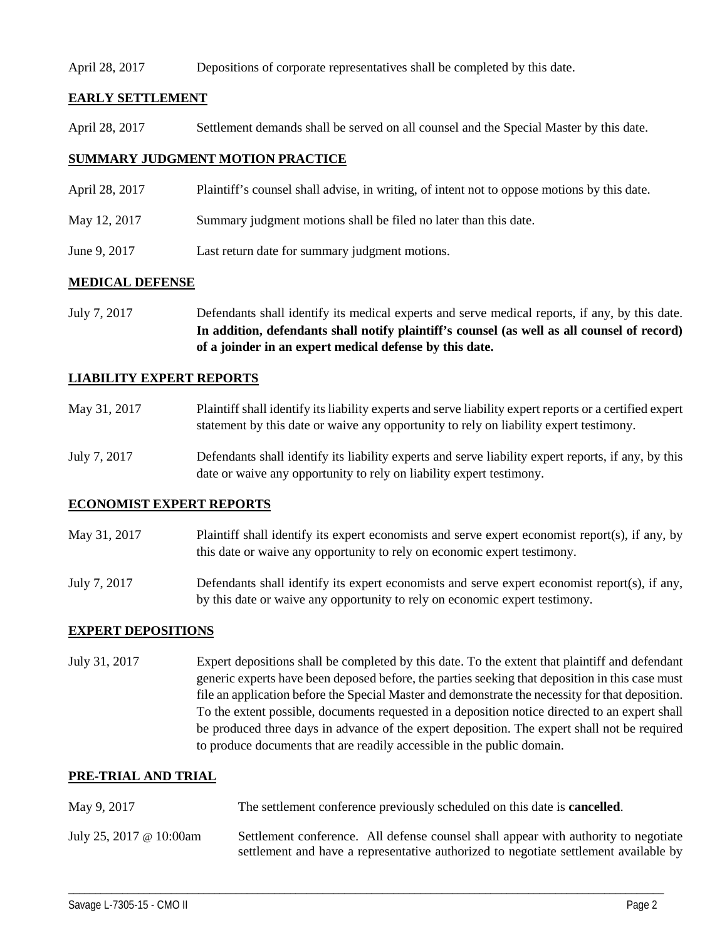#### April 28, 2017 Depositions of corporate representatives shall be completed by this date.

### **EARLY SETTLEMENT**

April 28, 2017 Settlement demands shall be served on all counsel and the Special Master by this date.

#### **SUMMARY JUDGMENT MOTION PRACTICE**

- April 28, 2017 Plaintiff's counsel shall advise, in writing, of intent not to oppose motions by this date.
- May 12, 2017 Summary judgment motions shall be filed no later than this date.
- June 9, 2017 Last return date for summary judgment motions.

#### **MEDICAL DEFENSE**

July 7, 2017 Defendants shall identify its medical experts and serve medical reports, if any, by this date. **In addition, defendants shall notify plaintiff's counsel (as well as all counsel of record) of a joinder in an expert medical defense by this date.**

#### **LIABILITY EXPERT REPORTS**

- May 31, 2017 Plaintiff shall identify its liability experts and serve liability expert reports or a certified expert statement by this date or waive any opportunity to rely on liability expert testimony.
- July 7, 2017 Defendants shall identify its liability experts and serve liability expert reports, if any, by this date or waive any opportunity to rely on liability expert testimony.

#### **ECONOMIST EXPERT REPORTS**

- May 31, 2017 Plaintiff shall identify its expert economists and serve expert economist report(s), if any, by this date or waive any opportunity to rely on economic expert testimony.
- July 7, 2017 Defendants shall identify its expert economists and serve expert economist report(s), if any, by this date or waive any opportunity to rely on economic expert testimony.

### **EXPERT DEPOSITIONS**

July 31, 2017 Expert depositions shall be completed by this date. To the extent that plaintiff and defendant generic experts have been deposed before, the parties seeking that deposition in this case must file an application before the Special Master and demonstrate the necessity for that deposition. To the extent possible, documents requested in a deposition notice directed to an expert shall be produced three days in advance of the expert deposition. The expert shall not be required to produce documents that are readily accessible in the public domain.

#### **PRE-TRIAL AND TRIAL**

- May 9, 2017 The settlement conference previously scheduled on this date is **cancelled**.
- July 25, 2017 @ 10:00am Settlement conference. All defense counsel shall appear with authority to negotiate settlement and have a representative authorized to negotiate settlement available by

\_\_\_\_\_\_\_\_\_\_\_\_\_\_\_\_\_\_\_\_\_\_\_\_\_\_\_\_\_\_\_\_\_\_\_\_\_\_\_\_\_\_\_\_\_\_\_\_\_\_\_\_\_\_\_\_\_\_\_\_\_\_\_\_\_\_\_\_\_\_\_\_\_\_\_\_\_\_\_\_\_\_\_\_\_\_\_\_\_\_\_\_\_\_\_\_\_\_\_\_\_\_\_\_\_\_\_\_\_\_